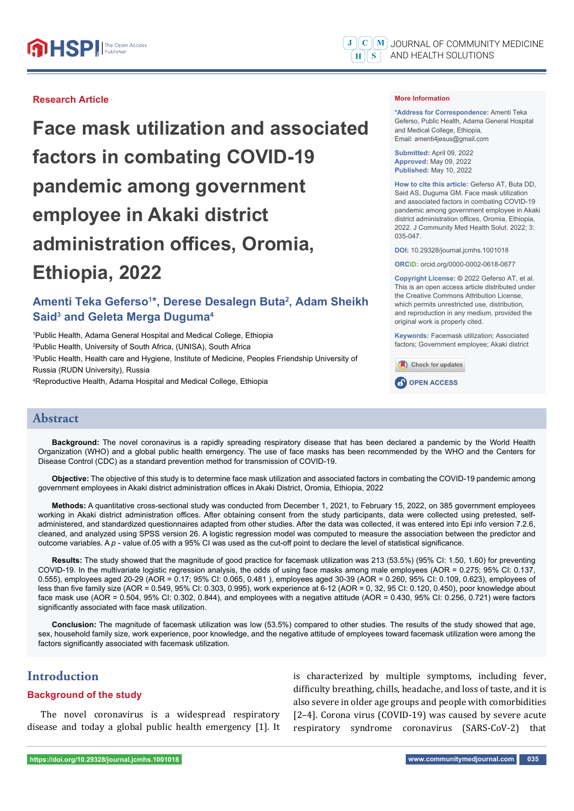#### **Research Article**

**Face mask utilization and associated factors in combating COVID-19 pandemic among government employee in Akaki district administration offices, Oromia, Ethiopia, 2022**

## **Amenti Teka Geferso1 \*, Derese Desalegn Buta2 , Adam Sheikh Said3 and Geleta Merga Duguma4**

 Public Health, Adama General Hospital and Medical College, Ethiopia Public Health, University of South Africa, (UNISA), South Africa Public Health, Health care and Hygiene, Institute of Medicine, Peoples Friendship University of Russia (RUDN University), Russia Reproductive Health, Adama Hospital and Medical College, Ethiopia

#### **More Information**

**\*Address for Correspondence:** Amenti Teka Geferso, Public Health, Adama General Hospital and Medical College, Ethiopia, Email: amenti4jesus@gmail.com

**Submitted:** April 09, 2022 **Approved:** May 09, 2022 **Published:** May 10, 2022

**How to cite this article:** Geferso AT, Buta DD, Said AS, Duguma GM. Face mask utilization and associated factors in combating COVID-19 pandemic among government employee in Akaki district administration offices, Oromia, Ethiopia, 2022. J Community Med Health Solut. 2022; 3: 035-047.

**DOI:** 10.29328/journal.jcmhs.1001018

**ORCiD:** orcid.org/0000-0002-0618-0677

**Copyright License: ©** 2022 Geferso AT, et al. This is an open access article distributed under the Creative Commons Attribution License, which permits unrestricted use, distribution, and reproduction in any medium, provided the original work is properly cited.

**Keywords:** Facemask utilization; Associated factors; Government employee; Akaki district



#### **Abstract**

**Background:** The novel coronavirus is a rapidly spreading respiratory disease that has been declared a pandemic by the World Health Organization (WHO) and a global public health emergency. The use of face masks has been recommended by the WHO and the Centers for Disease Control (CDC) as a standard prevention method for transmission of COVID-19.

**Objective:** The objective of this study is to determine face mask utilization and associated factors in combating the COVID-19 pandemic among government employees in Akaki district administration offices in Akaki District, Oromia, Ethiopia, 2022

**Methods:** A quantitative cross-sectional study was conducted from December 1, 2021, to February 15, 2022, on 385 government employees working in Akaki district administration offices. After obtaining consent from the study participants, data were collected using pretested, selfadministered, and standardized questionnaires adapted from other studies. After the data was collected, it was entered into Epi info version 7.2.6, cleaned, and analyzed using SPSS version 26. A logistic regression model was computed to measure the association between the predictor and outcome variables. A p - value of.05 with a 95% CI was used as the cut-off point to declare the level of statistical significance.

**Results:** The study showed that the magnitude of good practice for facemask utilization was 213 (53.5%) (95% CI: 1.50, 1.60) for preventing COVID-19. In the multivariate logistic regression analysis, the odds of using face masks among male employees (AOR = 0.275; 95% CI: 0.137, 0.555), employees aged 20-29 (AOR = 0.17; 95% CI: 0.065, 0.481 ), employees aged 30-39 (AOR = 0.260, 95% CI: 0.109, 0.623), employees of less than five family size (AOR = 0.549, 95% CI: 0.303, 0.995), work experience at 6-12 (AOR = 0, 32, 95 CI: 0.120, 0.450), poor knowledge about face mask use (AOR = 0.504, 95% CI: 0.302, 0.844), and employees with a negative attitude (AOR = 0.430, 95% CI: 0.256, 0.721) were factors significantly associated with face mask utilization.

**Conclusion:** The magnitude of facemask utilization was low (53.5%) compared to other studies. The results of the study showed that age, sex, household family size, work experience, poor knowledge, and the negative attitude of employees toward facemask utilization were among the factors significantly associated with facemask utilization.

## **Introduction**

#### **Background of the study**

The novel coronavirus is a widespread respiratory disease and today a global public health emergency [1]. It

is characterized by multiple symptoms, including fever, difficulty breathing, chills, headache, and loss of taste, and it is also severe in older age groups and people with comorbidities [2–4]. Corona virus (COVID-19) was caused by severe acute respiratory syndrome coronavirus (SARS-CoV-2) that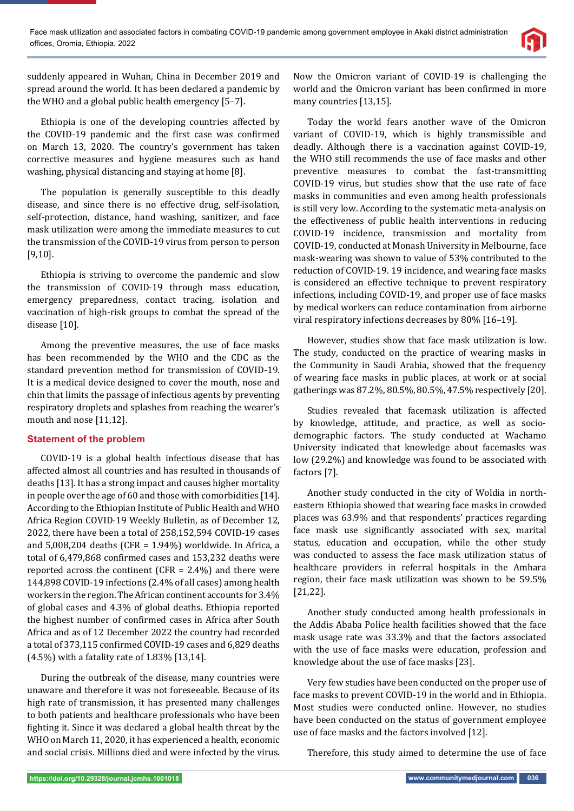

suddenly appeared in Wuhan, China in December 2019 and spread around the world. It has been declared a pandemic by the WHO and a global public health emergency [5–7].

Ethiopia is one of the developing countries affected by the COVID-19 pandemic and the first case was confirmed on March 13, 2020. The country's government has taken corrective measures and hygiene measures such as hand washing, physical distancing and staying at home [8].

The population is generally susceptible to this deadly disease, and since there is no effective drug, self-isolation, self-protection, distance, hand washing, sanitizer, and face mask utilization were among the immediate measures to cut the transmission of the COVID-19 virus from person to person [9,10].

Ethiopia is striving to overcome the pandemic and slow the transmission of COVID-19 through mass education, emergency preparedness, contact tracing, isolation and vaccination of high-risk groups to combat the spread of the disease [10].

Among the preventive measures, the use of face masks has been recommended by the WHO and the CDC as the standard prevention method for transmission of COVID-19. It is a medical device designed to cover the mouth, nose and chin that limits the passage of infectious agents by preventing respiratory droplets and splashes from reaching the wearer's mouth and nose [11,12].

## **Statement of the problem**

COVID-19 is a global health infectious disease that has affected almost all countries and has resulted in thousands of deaths [13]. It has a strong impact and causes higher mortality in people over the age of 60 and those with comorbidities [14]. According to the Ethiopian Institute of Public Health and WHO Africa Region COVID-19 Weekly Bulletin, as of December 12, 2022, there have been a total of 258,152,594 COVID-19 cases and 5,008,204 deaths (CFR = 1.94%) worldwide. In Africa, a total of 6,479,868 confirmed cases and 153,232 deaths were reported across the continent (CFR =  $2.4\%$ ) and there were 144,898 COVID-19 infections (2.4% of all cases) among health workers in the region. The African continent accounts for 3.4% of global cases and 4.3% of global deaths. Ethiopia reported the highest number of confirmed cases in Africa after South Africa and as of 12 December 2022 the country had recorded a total of 373,115 confirmed COVID-19 cases and 6,829 deaths (4.5%) with a fatality rate of 1.83% [13,14].

During the outbreak of the disease, many countries were unaware and therefore it was not foreseeable. Because of its high rate of transmission, it has presented many challenges to both patients and healthcare professionals who have been fighting it. Since it was declared a global health threat by the WHO on March 11, 2020, it has experienced a health, economic and social crisis. Millions died and were infected by the virus.

Now the Omicron variant of COVID-19 is challenging the world and the Omicron variant has been confirmed in more many countries [13,15].

Today the world fears another wave of the Omicron variant of COVID-19, which is highly transmissible and deadly. Although there is a vaccination against COVID-19, the WHO still recommends the use of face masks and other preventive measures to combat the fast-transmitting COVID-19 virus, but studies show that the use rate of face masks in communities and even among health professionals is still very low. According to the systematic meta-analysis on the effectiveness of public health interventions in reducing COVID-19 incidence, transmission and mortality from COVID-19, conducted at Monash University in Melbourne, face mask-wearing was shown to value of 53% contributed to the reduction of COVID-19. 19 incidence, and wearing face masks is considered an effective technique to prevent respiratory infections, including COVID-19, and proper use of face masks by medical workers can reduce contamination from airborne viral respiratory infections decreases by 80% [16–19].

However, studies show that face mask utilization is low. The study, conducted on the practice of wearing masks in the Community in Saudi Arabia, showed that the frequency of wearing face masks in public places, at work or at social gatherings was 87.2%, 80.5%, 80.5%, 47.5% respectively [20].

Studies revealed that facemask utilization is affected by knowledge, attitude, and practice, as well as sociodemographic factors. The study conducted at Wachamo University indicated that knowledge about facemasks was low (29.2%) and knowledge was found to be associated with factors [7].

Another study conducted in the city of Woldia in northeastern Ethiopia showed that wearing face masks in crowded places was 63.9% and that respondents' practices regarding face mask use significantly associated with sex, marital status, education and occupation, while the other study was conducted to assess the face mask utilization status of healthcare providers in referral hospitals in the Amhara region, their face mask utilization was shown to be 59.5% [21,22].

Another study conducted among health professionals in the Addis Ababa Police health facilities showed that the face mask usage rate was 33.3% and that the factors associated with the use of face masks were education, profession and knowledge about the use of face masks [23].

Very few studies have been conducted on the proper use of face masks to prevent COVID-19 in the world and in Ethiopia. Most studies were conducted online. However, no studies have been conducted on the status of government employee use of face masks and the factors involved [12].

Therefore, this study aimed to determine the use of face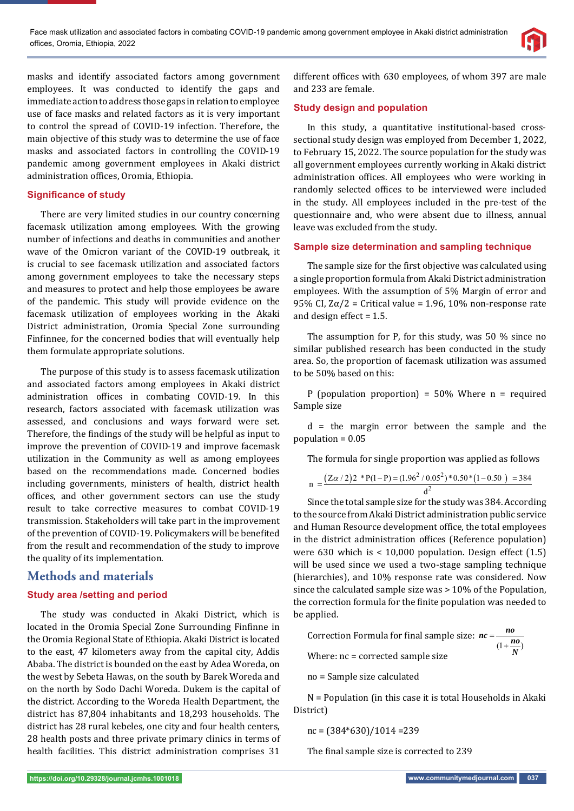

masks and identify associated factors among government employees. It was conducted to identify the gaps and immediate action to address those gaps in relation to employee use of face masks and related factors as it is very important to control the spread of COVID-19 infection. Therefore, the main objective of this study was to determine the use of face masks and associated factors in controlling the COVID-19 pandemic among government employees in Akaki district administration offices, Oromia, Ethiopia.

#### **Significance of study**

There are very limited studies in our country concerning facemask utilization among employees. With the growing number of infections and deaths in communities and another wave of the Omicron variant of the COVID-19 outbreak, it is crucial to see facemask utilization and associated factors among government employees to take the necessary steps and measures to protect and help those employees be aware of the pandemic. This study will provide evidence on the facemask utilization of employees working in the Akaki District administration, Oromia Special Zone surrounding Finfinnee, for the concerned bodies that will eventually help them formulate appropriate solutions.

The purpose of this study is to assess facemask utilization and associated factors among employees in Akaki district administration offices in combating COVID-19. In this research, factors associated with facemask utilization was assessed, and conclusions and ways forward were set. Therefore, the findings of the study will be helpful as input to improve the prevention of COVID-19 and improve facemask utilization in the Community as well as among employees based on the recommendations made. Concerned bodies including governments, ministers of health, district health offices, and other government sectors can use the study result to take corrective measures to combat COVID-19 transmission. Stakeholders will take part in the improvement of the prevention of COVID-19. Policymakers will be benefited from the result and recommendation of the study to improve the quality of its implementation.

## **Methods and materials**

### **Study area /setting and period**

The study was conducted in Akaki District, which is located in the Oromia Special Zone Surrounding Finfinne in the Oromia Regional State of Ethiopia. Akaki District is located to the east, 47 kilometers away from the capital city, Addis Ababa. The district is bounded on the east by Adea Woreda, on the west by Sebeta Hawas, on the south by Barek Woreda and on the north by Sodo Dachi Woreda. Dukem is the capital of the district. According to the Woreda Health Department, the district has 87,804 inhabitants and 18,293 households. The district has 28 rural kebeles, one city and four health centers, 28 health posts and three private primary clinics in terms of health facilities. This district administration comprises 31

different offices with 630 employees, of whom 397 are male and 233 are female.

### **Study design and population**

In this study, a quantitative institutional-based crosssectional study design was employed from December 1, 2022, to February 15, 2022. The source population for the study was all government employees currently working in Akaki district administration offices. All employees who were working in randomly selected offices to be interviewed were included in the study. All employees included in the pre-test of the questionnaire and, who were absent due to illness, annual leave was excluded from the study.

#### **Sample size determination and sampling technique**

The sample size for the first objective was calculated using a single proportion formula from Akaki District administration employees. With the assumption of 5% Margin of error and 95% CI,  $Z\alpha/2$  = Critical value = 1.96, 10% non-response rate and design effect = 1.5.

The assumption for P, for this study, was 50 % since no similar published research has been conducted in the study area. So, the proportion of facemask utilization was assumed to be 50% based on this:

P (population proportion) =  $50\%$  Where n = required Sample size

d = the margin error between the sample and the population = 0.05

The formula for single proportion was applied as follows

$$
n = \frac{(Z\alpha/2)2 * P(1-P) = (1.96^2/0.05^2) * 0.50 * (1-0.50) = 384}{d^2}
$$

Since the total sample size for the study was 384. According to the source from Akaki District administration public service and Human Resource development office, the total employees in the district administration offices (Reference population) were 630 which is  $<$  10,000 population. Design effect (1.5) will be used since we used a two-stage sampling technique (hierarchies), and 10% response rate was considered. Now since the calculated sample size was > 10% of the Population, the correction formula for the finite population was needed to be applied.

Correction Formula for final sample size: 
$$
nc = \frac{no}{(1 + \frac{no}{N})}
$$
  
Where:  $nc = corrected$  sample size

no = Sample size calculated

N = Population (in this case it is total Households in Akaki District)

$$
nc = (384 * 630)/1014 = 239
$$

The final sample size is corrected to 239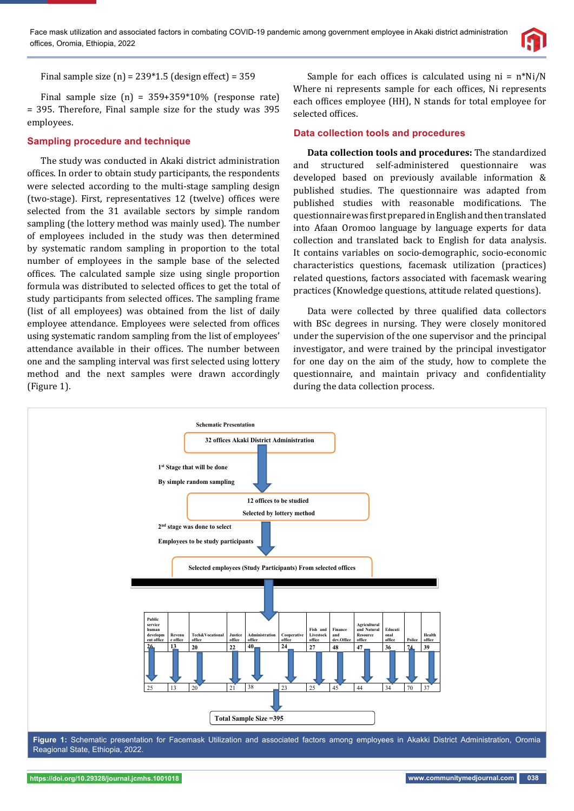

Final sample size  $(n) = 239*1.5$  (design effect) = 359

Final sample size  $(n) = 359+359*10\%$  (response rate) = 395. Therefore, Final sample size for the study was 395 employees.

### **Sampling procedure and technique**

The study was conducted in Akaki district administration offices. In order to obtain study participants, the respondents were selected according to the multi-stage sampling design (two-stage). First, representatives 12 (twelve) offices were selected from the 31 available sectors by simple random sampling (the lottery method was mainly used). The number of employees included in the study was then determined by systematic random sampling in proportion to the total number of employees in the sample base of the selected offices. The calculated sample size using single proportion formula was distributed to selected offices to get the total of study participants from selected offices. The sampling frame (list of all employees) was obtained from the list of daily employee attendance. Employees were selected from offices using systematic random sampling from the list of employees' attendance available in their offices. The number between one and the sampling interval was first selected using lottery method and the next samples were drawn accordingly (Figure 1).

Sample for each offices is calculated using  $ni = n*Ni/N$ Where ni represents sample for each offices, Ni represents each offices employee (HH), N stands for total employee for selected offices.

#### **Data collection tools and procedures**

**Data collection tools and procedures:** The standardized and structured self-administered questionnaire was developed based on previously available information & published studies. The questionnaire was adapted from published studies with reasonable modifications. The questionnaire was first prepared in English and then translated into Afaan Oromoo language by language experts for data collection and translated back to English for data analysis. It contains variables on socio-demographic, socio-economic characteristics questions, facemask utilization (practices) related questions, factors associated with facemask wearing practices (Knowledge questions, attitude related questions).

Data were collected by three qualified data collectors with BSc degrees in nursing. They were closely monitored under the supervision of the one supervisor and the principal investigator, and were trained by the principal investigator for one day on the aim of the study, how to complete the questionnaire, and maintain privacy and confidentiality during the data collection process.



Reagional State, Ethiopia, 2022.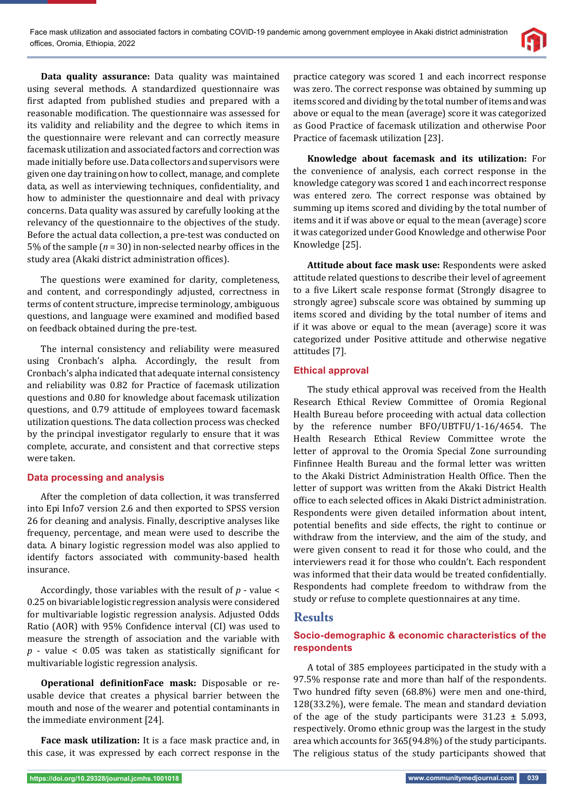

**Data quality assurance:** Data quality was maintained using several methods. A standardized questionnaire was first adapted from published studies and prepared with a reasonable modification. The questionnaire was assessed for its validity and reliability and the degree to which items in the questionnaire were relevant and can correctly measure facemask utilization and associated factors and correction was made initially before use. Data collectors and supervisors were given one day training on how to collect, manage, and complete data, as well as interviewing techniques, confidentiality, and how to administer the questionnaire and deal with privacy concerns. Data quality was assured by carefully looking at the relevancy of the questionnaire to the objectives of the study. Before the actual data collection, a pre-test was conducted on 5% of the sample ( $n = 30$ ) in non-selected nearby offices in the study area (Akaki district administration offices).

The questions were examined for clarity, completeness, and content, and correspondingly adjusted, correctness in terms of content structure, imprecise terminology, ambiguous questions, and language were examined and modified based on feedback obtained during the pre-test.

The internal consistency and reliability were measured using Cronbach's alpha. Accordingly, the result from Cronbach's alpha indicated that adequate internal consistency and reliability was 0.82 for Practice of facemask utilization questions and 0.80 for knowledge about facemask utilization questions, and 0.79 attitude of employees toward facemask utilization questions. The data collection process was checked by the principal investigator regularly to ensure that it was complete, accurate, and consistent and that corrective steps were taken.

#### **Data processing and analysis**

After the completion of data collection, it was transferred into Epi Info7 version 2.6 and then exported to SPSS version 26 for cleaning and analysis. Finally, descriptive analyses like frequency, percentage, and mean were used to describe the data. A binary logistic regression model was also applied to identify factors associated with community-based health insurance.

Accordingly, those variables with the result of *p* - value < 0.25 on bivariable logistic regression analysis were considered for multivariable logistic regression analysis. Adjusted Odds Ratio (AOR) with 95% Confidence interval (CI) was used to measure the strength of association and the variable with  $p$  - value < 0.05 was taken as statistically significant for multivariable logistic regression analysis.

**Operational definitionFace mask:** Disposable or reusable device that creates a physical barrier between the mouth and nose of the wearer and potential contaminants in the immediate environment [24].

**Face mask utilization:** It is a face mask practice and, in this case, it was expressed by each correct response in the practice category was scored 1 and each incorrect response was zero. The correct response was obtained by summing up items scored and dividing by the total number of items and was above or equal to the mean (average) score it was categorized as Good Practice of facemask utilization and otherwise Poor Practice of facemask utilization [23].

**Knowledge about facemask and its utilization:** For the convenience of analysis, each correct response in the knowledge category was scored 1 and each incorrect response was entered zero. The correct response was obtained by summing up items scored and dividing by the total number of items and it if was above or equal to the mean (average) score it was categorized under Good Knowledge and otherwise Poor Knowledge [25].

**Attitude about face mask use:** Respondents were asked attitude related questions to describe their level of agreement to a five Likert scale response format (Strongly disagree to strongly agree) subscale score was obtained by summing up items scored and dividing by the total number of items and if it was above or equal to the mean (average) score it was categorized under Positive attitude and otherwise negative attitudes [7].

#### **Ethical approval**

The study ethical approval was received from the Health Research Ethical Review Committee of Oromia Regional Health Bureau before proceeding with actual data collection by the reference number BFO/UBTFU/1-16/4654. The Health Research Ethical Review Committee wrote the letter of approval to the Oromia Special Zone surrounding Finfinnee Health Bureau and the formal letter was written to the Akaki District Administration Health Office. Then the letter of support was written from the Akaki District Health office to each selected offices in Akaki District administration. Respondents were given detailed information about intent, potential benefits and side effects, the right to continue or withdraw from the interview, and the aim of the study, and were given consent to read it for those who could, and the interviewers read it for those who couldn't. Each respondent was informed that their data would be treated confidentially. Respondents had complete freedom to withdraw from the study or refuse to complete questionnaires at any time.

## **Results**

## **Socio-demographic & economic characteristics of the respondents**

A total of 385 employees participated in the study with a 97.5% response rate and more than half of the respondents. Two hundred fifty seven (68.8%) were men and one-third, 128(33.2%), were female. The mean and standard deviation of the age of the study participants were  $31.23 \pm 5.093$ , respectively. Oromo ethnic group was the largest in the study area which accounts for 365(94.8%) of the study participants. The religious status of the study participants showed that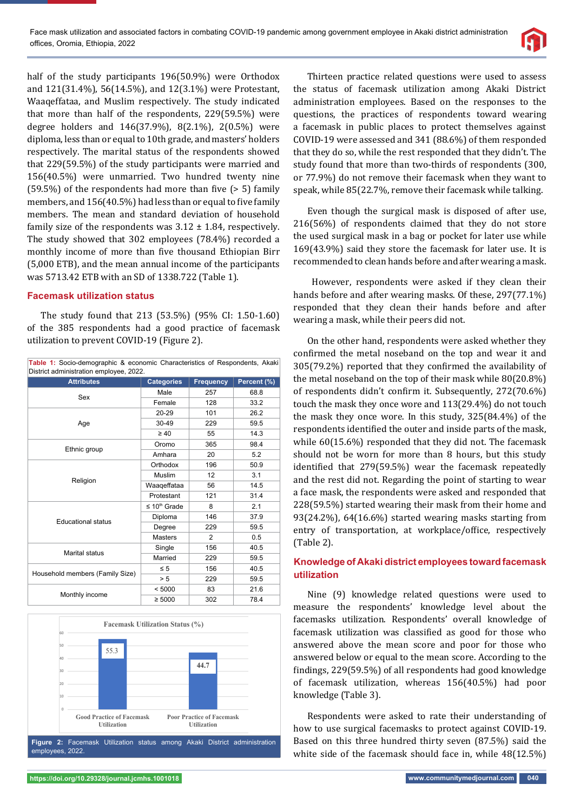

half of the study participants 196(50.9%) were Orthodox and 121(31.4%), 56(14.5%), and 12(3.1%) were Protestant, Waaqeffataa, and Muslim respectively. The study indicated that more than half of the respondents, 229(59.5%) were degree holders and 146(37.9%), 8(2.1%), 2(0.5%) were diploma, less than or equal to 10th grade, and masters' holders respectively. The marital status of the respondents showed that 229(59.5%) of the study participants were married and 156(40.5%) were unmarried. Two hundred twenty nine  $(59.5%)$  of the respondents had more than five  $(> 5)$  family members, and 156(40.5%) had less than or equal to five family members. The mean and standard deviation of household family size of the respondents was  $3.12 \pm 1.84$ , respectively. The study showed that 302 employees (78.4%) recorded a monthly income of more than five thousand Ethiopian Birr (5,000 ETB), and the mean annual income of the participants was 5713.42 ETB with an SD of 1338.722 (Table 1).

#### **Facemask utilization status**

The study found that 213 (53.5%) (95% CI: 1.50-1.60) of the 385 respondents had a good practice of facemask utilization to prevent COVID-19 (Figure 2).

| Table 1: Socio-demographic & economic Characteristics of Respondents, Akaki<br>District administration employee, 2022. |                      |                  |                 |  |  |  |
|------------------------------------------------------------------------------------------------------------------------|----------------------|------------------|-----------------|--|--|--|
| <b>Attributes</b>                                                                                                      | <b>Categories</b>    | <b>Frequency</b> | Percent $(\% )$ |  |  |  |
|                                                                                                                        | Male                 | 257              | 68.8            |  |  |  |
| Sex                                                                                                                    | Female               | 128              | 33.2            |  |  |  |
| Age                                                                                                                    | 20-29                | 101              | 26.2            |  |  |  |
|                                                                                                                        | 30-49                | 229              | 59.5            |  |  |  |
|                                                                                                                        | $\geq 40$            | 55               | 14.3            |  |  |  |
| Ethnic group                                                                                                           | Oromo                | 365              | 98.4            |  |  |  |
|                                                                                                                        | Amhara               | 20               | 5.2             |  |  |  |
| Religion                                                                                                               | Orthodox             | 196              | 50.9            |  |  |  |
|                                                                                                                        | Muslim               | 12               | 3.1             |  |  |  |
|                                                                                                                        | Waaqeffataa          | 56               | 14.5            |  |  |  |
|                                                                                                                        | Protestant           | 121              | 31.4            |  |  |  |
|                                                                                                                        | $\leq 10^{th}$ Grade | 8                | 2.1             |  |  |  |
| <b>Educational status</b>                                                                                              | Diploma              | 146              | 37.9            |  |  |  |
|                                                                                                                        | Degree               | 229              | 59.5            |  |  |  |
|                                                                                                                        | <b>Masters</b>       | $\overline{2}$   | 0.5             |  |  |  |
| Marital status                                                                                                         | Single               | 156              | 40.5            |  |  |  |
|                                                                                                                        | Married              | 229              | 59.5            |  |  |  |
| Household members (Family Size)                                                                                        | $\leq 5$             | 156              | 40.5            |  |  |  |
|                                                                                                                        | > 5                  | 229              | 59.5            |  |  |  |
| Monthly income                                                                                                         | < 5000               | 83               | 21.6            |  |  |  |
|                                                                                                                        | $\geq 5000$          | 302              | 78.4            |  |  |  |



Thirteen practice related questions were used to assess the status of facemask utilization among Akaki District administration employees. Based on the responses to the questions, the practices of respondents toward wearing a facemask in public places to protect themselves against COVID-19 were assessed and 341 (88.6%) of them responded that they do so, while the rest responded that they didn't. The study found that more than two-thirds of respondents (300, or 77.9%) do not remove their facemask when they want to speak, while 85(22.7%, remove their facemask while talking.

Even though the surgical mask is disposed of after use, 216(56%) of respondents claimed that they do not store the used surgical mask in a bag or pocket for later use while 169(43.9%) said they store the facemask for later use. It is recommended to clean hands before and after wearing a mask.

 However, respondents were asked if they clean their hands before and after wearing masks. Of these, 297(77.1%) responded that they clean their hands before and after wearing a mask, while their peers did not.

On the other hand, respondents were asked whether they confirmed the metal noseband on the top and wear it and 305(79.2%) reported that they confirmed the availability of the metal noseband on the top of their mask while 80(20.8%) of respondents didn't confirm it. Subsequently, 272(70.6%) touch the mask they once wore and 113(29.4%) do not touch the mask they once wore. In this study, 325(84.4%) of the respondents identified the outer and inside parts of the mask, while 60(15.6%) responded that they did not. The facemask should not be worn for more than 8 hours, but this study identified that 279(59.5%) wear the facemask repeatedly and the rest did not. Regarding the point of starting to wear a face mask, the respondents were asked and responded that 228(59.5%) started wearing their mask from their home and 93(24.2%), 64(16.6%) started wearing masks starting from entry of transportation, at workplace/office, respectively (Table 2).

### **Knowledge of Akaki district employees toward facemask utilization**

Nine (9) knowledge related questions were used to measure the respondents' knowledge level about the facemasks utilization. Respondents' overall knowledge of facemask utilization was classified as good for those who answered above the mean score and poor for those who answered below or equal to the mean score. According to the findings, 229(59.5%) of all respondents had good knowledge of facemask utilization, whereas 156(40.5%) had poor knowledge (Table 3).

Respondents were asked to rate their understanding of how to use surgical facemasks to protect against COVID-19. Based on this three hundred thirty seven (87.5%) said the white side of the facemask should face in, while 48(12.5%)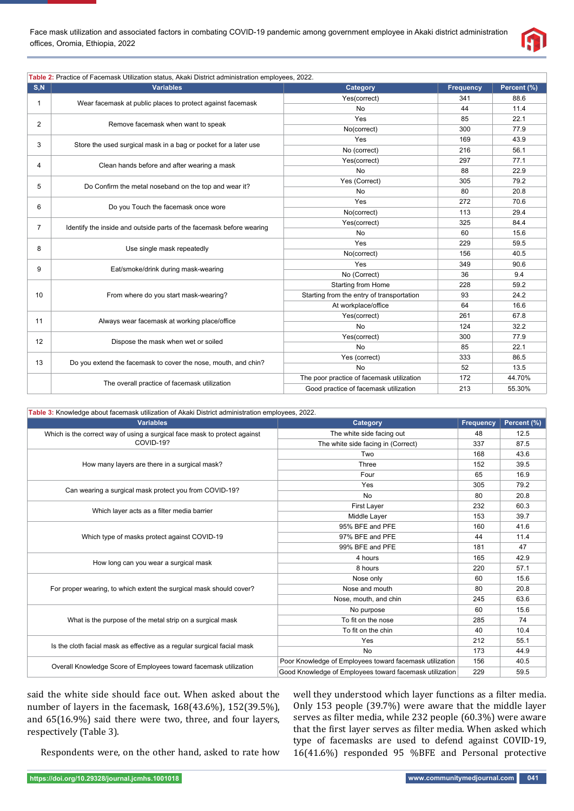

|                | Table 2: Practice of Facemask Utilization status, Akaki District administration employees, 2022. |                                           |                  |             |
|----------------|--------------------------------------------------------------------------------------------------|-------------------------------------------|------------------|-------------|
| S, N           | <b>Variables</b>                                                                                 | Category                                  | <b>Frequency</b> | Percent (%) |
| $\mathbf{1}$   |                                                                                                  | Yes(correct)                              | 341              | 88.6        |
|                | Wear facemask at public places to protect against facemask                                       | No                                        | 44               | 11.4        |
| 2              |                                                                                                  | Yes                                       | 85               | 22.1        |
|                | Remove facemask when want to speak                                                               | No(correct)                               | 300              | 77.9        |
|                |                                                                                                  | Yes                                       | 169              | 43.9        |
| 3              | Store the used surgical mask in a bag or pocket for a later use                                  | No (correct)                              | 216              | 56.1        |
| 4              | Clean hands before and after wearing a mask                                                      | Yes(correct)                              | 297              | 77.1        |
|                |                                                                                                  | <b>No</b>                                 | 88               | 22.9        |
|                | Do Confirm the metal noseband on the top and wear it?                                            | Yes (Correct)                             | 305              | 79.2        |
| 5              |                                                                                                  | No                                        | 80               | 20.8        |
| 6              | Do you Touch the facemask once wore                                                              | Yes                                       | 272              | 70.6        |
|                |                                                                                                  | No(correct)                               | 113              | 29.4        |
| $\overline{7}$ | Identify the inside and outside parts of the facemask before wearing                             | Yes(correct)                              | 325              | 84.4        |
|                |                                                                                                  | No                                        | 60               | 15.6        |
| 8              | Use single mask repeatedly                                                                       | Yes                                       | 229              | 59.5        |
|                |                                                                                                  | No(correct)                               | 156              | 40.5        |
| 9              | Eat/smoke/drink during mask-wearing                                                              | Yes                                       | 349              | 90.6        |
|                |                                                                                                  | No (Correct)                              | 36               | 9.4         |
|                |                                                                                                  | <b>Starting from Home</b>                 | 228              | 59.2        |
| 10             | From where do you start mask-wearing?                                                            | Starting from the entry of transportation | 93               | 24.2        |
|                |                                                                                                  | At workplace/office                       | 64               | 16.6        |
| 11             | Always wear facemask at working place/office                                                     | Yes(correct)                              | 261              | 67.8        |
|                |                                                                                                  | <b>No</b>                                 | 124              | 32.2        |
| 12             | Dispose the mask when wet or soiled                                                              | Yes(correct)                              | 300              | 77.9        |
|                |                                                                                                  | No                                        | 85               | 22.1        |
| 13             | Do you extend the facemask to cover the nose, mouth, and chin?                                   | Yes (correct)                             | 333              | 86.5        |
|                |                                                                                                  | No                                        | 52               | 13.5        |
|                | The overall practice of facemask utilization                                                     | The poor practice of facemask utilization | 172              | 44.70%      |
|                |                                                                                                  | Good practice of facemask utilization     | 213              | 55.30%      |

| Table 3: Knowledge about facemask utilization of Akaki District administration employees, 2022. |                                                         |                  |             |
|-------------------------------------------------------------------------------------------------|---------------------------------------------------------|------------------|-------------|
| <b>Variables</b>                                                                                | Category                                                | <b>Frequency</b> | Percent (%) |
| Which is the correct way of using a surgical face mask to protect against                       | The white side facing out                               | 48               | 12.5        |
| COVID-19?                                                                                       | The white side facing in (Correct)                      | 337              | 87.5        |
|                                                                                                 | Two                                                     | 168              | 43.6        |
| How many layers are there in a surgical mask?                                                   | Three                                                   | 152              | 39.5        |
|                                                                                                 | Four                                                    | 65               | 16.9        |
|                                                                                                 | Yes                                                     | 305              | 79.2        |
| Can wearing a surgical mask protect you from COVID-19?                                          | No                                                      | 80               | 20.8        |
|                                                                                                 | First Layer                                             | 232              | 60.3        |
| Which layer acts as a filter media barrier                                                      | <b>Middle Laver</b>                                     | 153              | 39.7        |
|                                                                                                 | 95% BFE and PFE                                         | 160              | 41.6        |
| Which type of masks protect against COVID-19                                                    | 97% BFE and PFE                                         | 44               | 11.4        |
|                                                                                                 | 99% BFE and PFE                                         | 181              | 47          |
|                                                                                                 | 4 hours                                                 | 165              | 42.9        |
| How long can you wear a surgical mask                                                           | 8 hours                                                 | 220              | 57.1        |
|                                                                                                 | Nose only                                               | 60               | 15.6        |
| For proper wearing, to which extent the surgical mask should cover?                             | Nose and mouth                                          | 80               | 20.8        |
|                                                                                                 | Nose, mouth, and chin                                   | 245              | 63.6        |
|                                                                                                 | No purpose                                              | 60               | 15.6        |
| What is the purpose of the metal strip on a surgical mask                                       | To fit on the nose                                      | 285              | 74          |
|                                                                                                 | To fit on the chin                                      | 40               | 10.4        |
|                                                                                                 | Yes                                                     | 212              | 55.1        |
| Is the cloth facial mask as effective as a regular surgical facial mask                         | <b>No</b>                                               | 173              | 44.9        |
| Overall Knowledge Score of Employees toward facemask utilization                                | Poor Knowledge of Employees toward facemask utilization | 156              | 40.5        |
|                                                                                                 | Good Knowledge of Employees toward facemask utilization | 229              | 59.5        |

said the white side should face out. When asked about the number of layers in the facemask, 168(43.6%), 152(39.5%), and 65(16.9%) said there were two, three, and four layers, respectively (Table 3).

Respondents were, on the other hand, asked to rate how

well they understood which layer functions as a filter media. Only 153 people (39.7%) were aware that the middle layer serves as filter media, while 232 people (60.3%) were aware that the first layer serves as filter media. When asked which type of facemasks are used to defend against COVID-19, 16(41.6%) responded 95 %BFE and Personal protective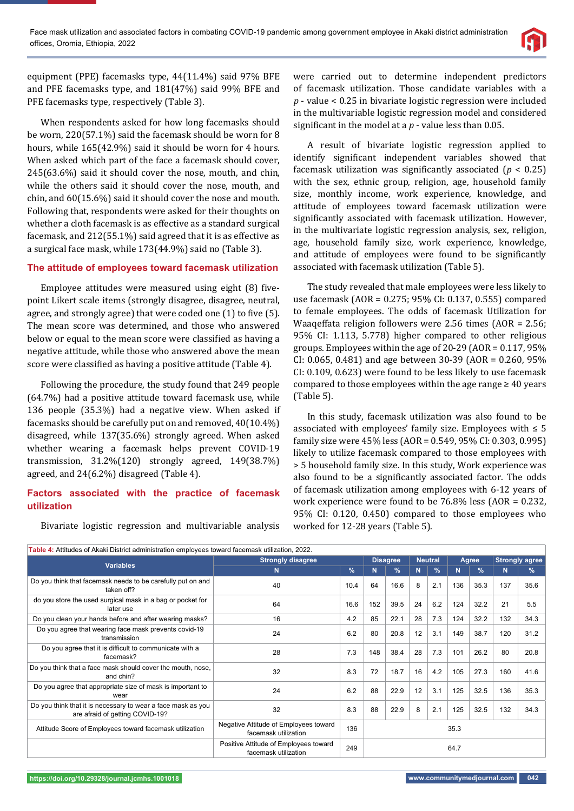

equipment (PPE) facemasks type, 44(11.4%) said 97% BFE and PFE facemasks type, and 181(47%) said 99% BFE and PFE facemasks type, respectively (Table 3).

When respondents asked for how long facemasks should be worn, 220(57.1%) said the facemask should be worn for 8 hours, while 165(42.9%) said it should be worn for 4 hours. When asked which part of the face a facemask should cover, 245(63.6%) said it should cover the nose, mouth, and chin, while the others said it should cover the nose, mouth, and chin, and 60(15.6%) said it should cover the nose and mouth. Following that, respondents were asked for their thoughts on whether a cloth facemask is as effective as a standard surgical facemask, and 212(55.1%) said agreed that it is as effective as a surgical face mask, while 173(44.9%) said no (Table 3).

## **The attitude of employees toward facemask utilization**

Employee attitudes were measured using eight (8) fivepoint Likert scale items (strongly disagree, disagree, neutral, agree, and strongly agree) that were coded one  $(1)$  to five  $(5)$ . The mean score was determined, and those who answered below or equal to the mean score were classified as having a negative attitude, while those who answered above the mean score were classified as having a positive attitude (Table 4).

Following the procedure, the study found that 249 people (64.7%) had a positive attitude toward facemask use, while 136 people (35.3%) had a negative view. When asked if facemasks should be carefully put on and removed, 40(10.4%) disagreed, while 137(35.6%) strongly agreed. When asked whether wearing a facemask helps prevent COVID-19 transmission, 31.2%(120) strongly agreed, 149(38.7%) agreed, and 24(6.2%) disagreed (Table 4).

### **Fact ors associated with the practice of facemask utilization**

Bivariate logistic regression and multivariable analysis

were carried out to determine independent predictors of facemask utilization. Those candidate variables with a *p* - value < 0.25 in bivariate logistic regression were included in the multivariable logistic regression model and considered significant in the model at  $a$   $p$  - value less than 0.05.

A result of bivariate logistic regression applied to identify significant independent variables showed that facemask utilization was significantly associated  $(p < 0.25)$ with the sex, ethnic group, religion, age, household family size, monthly income, work experience, knowledge, and attitude of employees toward facemask utilization were significantly associated with facemask utilization. However, in the multivariate logistic regression analysis, sex, religion, age, household family size, work experience, knowledge, and attitude of employees were found to be significantly associated with facemask utilization (Table 5).

The study revealed that male employees were less likely to use facemask (AOR = 0.275; 95% CI: 0.137, 0.555) compared to female employees. The odds of facemask Utilization for Waaqeffata religion followers were 2.56 times (AOR = 2.56; 95% CI: 1.113, 5.778) higher compared to other religious groups. Employees within the age of 20-29 (AOR = 0.117, 95% CI: 0.065, 0.481) and age between 30-39 (AOR = 0.260, 95% CI: 0.109, 0.623) were found to be less likely to use facemask compared to those employees within the age range  $\geq 40$  years (Table 5).

In this study, facemask utilization was also found to be associated with employees' family size. Employees with  $\leq 5$ family size were 45% less (AOR = 0.549, 95% CI: 0.303, 0.995) likely to utilize facemask compared to those employees with > 5 household family size. In this study, Work experience was also found to be a significantly associated factor. The odds of facemask utilization among employees with 6-12 years of work experience were found to be 76.8% less (AOR = 0.232, 95% CI: 0.120, 0.450) compared to those employees who worked for 12-28 years (Table 5).

| Table 4: Attitudes of Akaki District administration employees toward facemask utilization, 2022. |                                                               |               |                 |               |                |               |       |               |                       |      |
|--------------------------------------------------------------------------------------------------|---------------------------------------------------------------|---------------|-----------------|---------------|----------------|---------------|-------|---------------|-----------------------|------|
| <b>Variables</b>                                                                                 | <b>Strongly disagree</b>                                      |               | <b>Disagree</b> |               | <b>Neutral</b> |               | Agree |               | <b>Strongly agree</b> |      |
|                                                                                                  | N                                                             | $\frac{9}{6}$ | N               | $\frac{9}{6}$ | N              | $\frac{9}{6}$ | N     | $\frac{9}{6}$ | N                     | $\%$ |
| Do you think that facemask needs to be carefully put on and<br>taken off?                        | 40                                                            | 10.4          | 64              | 16.6          | 8              | 2.1           | 136   | 35.3          | 137                   | 35.6 |
| do you store the used surgical mask in a bag or pocket for<br>later use                          | 64                                                            | 16.6          | 152             | 39.5          | 24             | 6.2           | 124   | 32.2          | 21                    | 5.5  |
| Do you clean your hands before and after wearing masks?                                          | 16                                                            | 4.2           | 85              | 22.1          | 28             | 7.3           | 124   | 32.2          | 132                   | 34.3 |
| Do you agree that wearing face mask prevents covid-19<br>transmission                            | 24                                                            | 6.2           | 80              | 20.8          | 12             | 3.1           | 149   | 38.7          | 120                   | 31.2 |
| Do you agree that it is difficult to communicate with a<br>facemask?                             | 28                                                            | 7.3           | 148             | 38.4          | 28             | 7.3           | 101   | 26.2          | 80                    | 20.8 |
| Do you think that a face mask should cover the mouth, nose,<br>and chin?                         | 32                                                            | 8.3           | 72              | 18.7          | 16             | 4.2           | 105   | 27.3          | 160                   | 41.6 |
| Do you agree that appropriate size of mask is important to<br>wear                               | 24                                                            | 6.2           | 88              | 22.9          | 12             | 3.1           | 125   | 32.5          | 136                   | 35.3 |
| Do you think that it is necessary to wear a face mask as you<br>are afraid of getting COVID-19?  | 32                                                            | 8.3           | 88              | 22.9          | 8              | 2.1           | 125   | 32.5          | 132                   | 34.3 |
| Attitude Score of Employees toward facemask utilization                                          | Negative Attitude of Employees toward<br>facemask utilization | 136           | 35.3            |               |                |               |       |               |                       |      |
|                                                                                                  | Positive Attitude of Employees toward<br>facemask utilization | 249           | 64.7            |               |                |               |       |               |                       |      |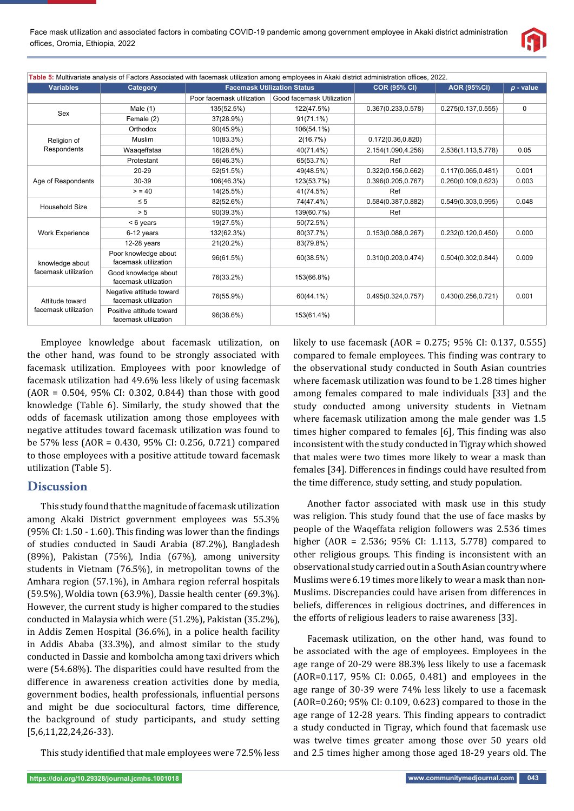

| Table 5: Multivariate analysis of Factors Associated with facemask utilization among employees in Akaki district administration offices, 2022. |                                                  |                                    |                           |                     |                     |             |  |  |
|------------------------------------------------------------------------------------------------------------------------------------------------|--------------------------------------------------|------------------------------------|---------------------------|---------------------|---------------------|-------------|--|--|
| <b>Variables</b>                                                                                                                               | Category                                         | <b>Facemask Utilization Status</b> |                           | <b>COR (95% CI)</b> | <b>AOR (95%CI)</b>  | $p$ - value |  |  |
|                                                                                                                                                |                                                  | Poor facemask utilization          | Good facemask Utilization |                     |                     |             |  |  |
| Sex                                                                                                                                            | Male $(1)$                                       | 135(52.5%)                         | 122(47.5%)                | 0.367(0.233, 0.578) | 0.275(0.137, 0.555) | $\mathbf 0$ |  |  |
|                                                                                                                                                | Female (2)                                       | 37(28.9%)                          | $91(71.1\%)$              |                     |                     |             |  |  |
|                                                                                                                                                | Orthodox                                         | $90(45.9\%)$                       | 106(54.1%)                |                     |                     |             |  |  |
| Religion of                                                                                                                                    | Muslim                                           | 10(83.3%)                          | 2(16.7%)                  | 0.172(0.36, 0.820)  |                     |             |  |  |
| Respondents                                                                                                                                    | Waageffataa                                      | 16(28.6%)                          | 40(71.4%)                 | 2.154(1.090,4.256)  | 2.536(1.113,5.778)  | 0.05        |  |  |
|                                                                                                                                                | Protestant                                       | 56(46.3%)                          | 65(53.7%)                 | Ref                 |                     |             |  |  |
|                                                                                                                                                | 20-29                                            | 52(51.5%)                          | 49(48.5%)                 | 0.322(0.156, 0.662) | 0.117(0.065, 0.481) | 0.001       |  |  |
| Age of Respondents                                                                                                                             | 30-39                                            | 106(46.3%)                         | 123(53.7%)                | 0.396(0.205, 0.767) | 0.260(0.109, 0.623) | 0.003       |  |  |
|                                                                                                                                                | > 40                                             | 14(25.5%)                          | 41(74.5%)                 | Ref                 |                     |             |  |  |
| <b>Household Size</b>                                                                                                                          | $\leq 5$                                         | 82(52.6%)                          | 74(47.4%)                 | 0.584(0.387, 0.882) | 0.549(0.303, 0.995) | 0.048       |  |  |
|                                                                                                                                                | > 5                                              | 90(39.3%)                          | 139(60.7%)                | Ref                 |                     |             |  |  |
|                                                                                                                                                | $< 6$ years                                      | 19(27.5%)                          | 50(72.5%)                 |                     |                     |             |  |  |
| <b>Work Experience</b>                                                                                                                         | 6-12 years                                       | 132(62.3%)                         | 80(37.7%)                 | 0.153(0.088, 0.267) | 0.232(0.120, 0.450) | 0.000       |  |  |
|                                                                                                                                                | 12-28 years                                      | 21(20.2%)                          | 83(79.8%)                 |                     |                     |             |  |  |
| knowledge about<br>facemask utilization                                                                                                        | Poor knowledge about<br>facemask utilization     | 96(61.5%)                          | 60(38.5%)                 | 0.310(0.203, 0.474) | 0.504(0.302, 0.844) | 0.009       |  |  |
|                                                                                                                                                | Good knowledge about<br>facemask utilization     | 76(33.2%)                          | 153(66.8%)                |                     |                     |             |  |  |
| Attitude toward<br>facemask utilization                                                                                                        | Negative attitude toward<br>facemask utilization | 76(55.9%)                          | 60(44.1%)                 | 0.495(0.324, 0.757) | 0.430(0.256, 0.721) | 0.001       |  |  |
|                                                                                                                                                | Positive attitude toward<br>facemask utilization | 96(38.6%)                          | 153(61.4%)                |                     |                     |             |  |  |

Employee knowledge about facemask utilization, on the other hand, was found to be strongly associated with facemask utilization. Employees with poor knowledge of facemask utilization had 49.6% less likely of using facemask (AOR = 0.504, 95% CI: 0.302, 0.844) than those with good knowledge (Table 6). Similarly, the study showed that the odds of facemask utilization among those employees with negative attitudes toward facemask utilization was found to be 57% less (AOR = 0.430, 95% CI: 0.256, 0.721) compared to those employees with a positive attitude toward facemask utilization (Table 5).

## **Discussion**

This study found that the magnitude of facemask utilization among Akaki District government employees was 55.3%  $(95\%$  CI: 1.50 - 1.60). This finding was lower than the findings of studies conducted in Saudi Arabia (87.2%), Bangladesh (89%), Pakistan (75%), India (67%), among university students in Vietnam (76.5%), in metropolitan towns of the Amhara region (57.1%), in Amhara region referral hospitals (59.5%), Woldia town (63.9%), Dassie health center (69.3%). However, the current study is higher compared to the studies conducted in Malaysia which were (51.2%), Pakistan (35.2%), in Addis Zemen Hospital (36.6%), in a police health facility in Addis Ababa (33.3%), and almost similar to the study conducted in Dassie and kombolcha among taxi drivers which were (54.68%). The disparities could have resulted from the difference in awareness creation activities done by media, government bodies, health professionals, influential persons and might be due sociocultural factors, time difference, the background of study participants, and study setting [5,6,11,22,24,26-33).

This study identified that male employees were 72.5% less

likely to use facemask (AOR = 0.275; 95% CI: 0.137, 0.555) compared to female employees. This finding was contrary to the observational study conducted in South Asian countries where facemask utilization was found to be 1.28 times higher among females compared to male individuals [33] and the study conducted among university students in Vietnam where facemask utilization among the male gender was 1.5 times higher compared to females [6], This finding was also inconsistent with the study conducted in Tigray which showed that males were two times more likely to wear a mask than females [34]. Differences in findings could have resulted from the time difference, study setting, and study population.

Another factor associated with mask use in this study was religion. This study found that the use of face masks by people of the Waqeffata religion followers was 2.536 times higher (AOR = 2.536; 95% CI: 1.113, 5.778) compared to other religious groups. This finding is inconsistent with an observational study carried out in a South Asian country where Muslims were 6.19 times more likely to wear a mask than non-Muslims. Discrepancies could have arisen from differences in beliefs, differences in religious doctrines, and differences in the efforts of religious leaders to raise awareness [33].

Facemask utilization, on the other hand, was found to be associated with the age of employees. Employees in the age range of 20-29 were 88.3% less likely to use a facemask (AOR=0.117, 95% CI: 0.065, 0.481) and employees in the age range of 30-39 were 74% less likely to use a facemask (AOR=0.260; 95% CI: 0.109, 0.623) compared to those in the age range of 12-28 years. This finding appears to contradict a study conducted in Tigray, which found that facemask use was twelve times greater among those over 50 years old and 2.5 times higher among those aged 18-29 years old. The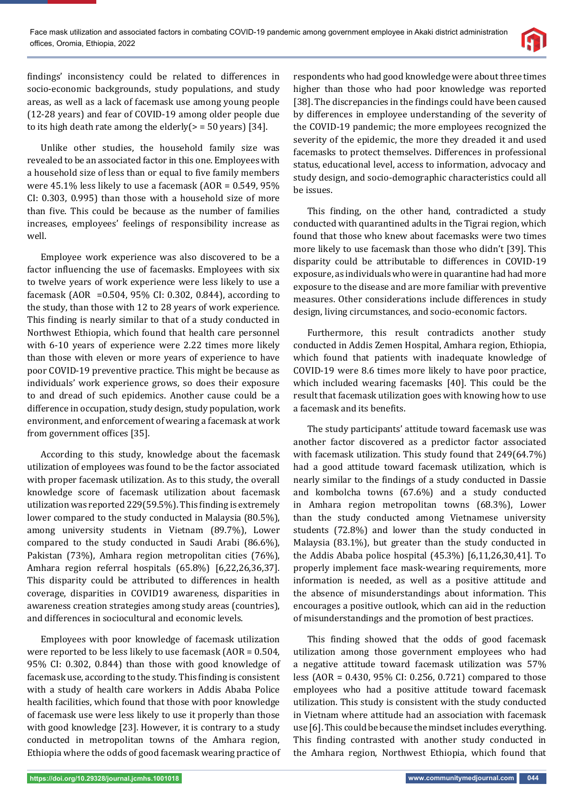

findings' inconsistency could be related to differences in socio-economic backgrounds, study populations, and study areas, as well as a lack of facemask use among young people (12-28 years) and fear of COVID-19 among older people due to its high death rate among the elderly( $>$  = 50 years) [34].

Unlike other studies, the household family size was revealed to be an associated factor in this one. Employees with a household size of less than or equal to five family members were 45.1% less likely to use a facemask (AOR = 0.549, 95% CI: 0.303, 0.995) than those with a household size of more than five. This could be because as the number of families increases, employees' feelings of responsibility increase as well.

Employee work experience was also discovered to be a factor influencing the use of facemasks. Employees with six to twelve years of work experience were less likely to use a facemask (AOR =0.504, 95% CI: 0.302, 0.844), according to the study, than those with 12 to 28 years of work experience. This finding is nearly similar to that of a study conducted in Northwest Ethiopia, which found that health care personnel with 6-10 years of experience were 2.22 times more likely than those with eleven or more years of experience to have poor COVID-19 preventive practice. This might be because as individuals' work experience grows, so does their exposure to and dread of such epidemics. Another cause could be a difference in occupation, study design, study population, work environment, and enforcement of wearing a facemask at work from government offices [35].

According to this study, knowledge about the facemask utilization of employees was found to be the factor associated with proper facemask utilization. As to this study, the overall knowledge score of facemask utilization about facemask utilization was reported 229(59.5%). This finding is extremely lower compared to the study conducted in Malaysia (80.5%), among university students in Vietnam (89.7%), Lower compared to the study conducted in Saudi Arabi (86.6%), Pakistan (73%), Amhara region metropolitan cities (76%), Amhara region referral hospitals (65.8%) [6,22,26,36,37]. This disparity could be attributed to differences in health coverage, disparities in COVID19 awareness, disparities in awareness creation strategies among study areas (countries), and differences in sociocultural and economic levels.

Employees with poor knowledge of facemask utilization were reported to be less likely to use facemask (AOR = 0.504, 95% CI: 0.302, 0.844) than those with good knowledge of facemask use, according to the study. This finding is consistent with a study of health care workers in Addis Ababa Police health facilities, which found that those with poor knowledge of facemask use were less likely to use it properly than those with good knowledge [23]. However, it is contrary to a study conducted in metropolitan towns of the Amhara region, Ethiopia where the odds of good facemask wearing practice of

respondents who had good knowledge were about three times higher than those who had poor knowledge was reported [38]. The discrepancies in the findings could have been caused by differences in employee understanding of the severity of the COVID-19 pandemic; the more employees recognized the severity of the epidemic, the more they dreaded it and used facemasks to protect themselves. Differences in professional status, educational level, access to information, advocacy and study design, and socio-demographic characteristics could all be issues.

This finding, on the other hand, contradicted a study conducted with quarantined adults in the Tigrai region, which found that those who knew about facemasks were two times more likely to use facemask than those who didn't [39]. This disparity could be attributable to differences in COVID-19 exposure, as individuals who were in quarantine had had more exposure to the disease and are more familiar with preventive measures. Other considerations include differences in study design, living circumstances, and socio-economic factors.

Furthermore, this result contradicts another study conducted in Addis Zemen Hospital, Amhara region, Ethiopia, which found that patients with inadequate knowledge of COVID-19 were 8.6 times more likely to have poor practice, which included wearing facemasks [40]. This could be the result that facemask utilization goes with knowing how to use a facemask and its benefits.

The study participants' attitude toward facemask use was another factor discovered as a predictor factor associated with facemask utilization. This study found that 249(64.7%) had a good attitude toward facemask utilization, which is nearly similar to the findings of a study conducted in Dassie and kombolcha towns (67.6%) and a study conducted in Amhara region metropolitan towns (68.3%), Lower than the study conducted among Vietnamese university students (72.8%) and lower than the study conducted in Malaysia (83.1%), but greater than the study conducted in the Addis Ababa police hospital (45.3%) [6,11,26,30,41]. To properly implement face mask-wearing requirements, more information is needed, as well as a positive attitude and the absence of misunderstandings about information. This encourages a positive outlook, which can aid in the reduction of misunderstandings and the promotion of best practices.

This finding showed that the odds of good facemask utilization among those government employees who had a negative attitude toward facemask utilization was 57% less (AOR = 0.430, 95% CI: 0.256, 0.721) compared to those employees who had a positive attitude toward facemask utilization. This study is consistent with the study conducted in Vietnam where attitude had an association with facemask use [6]. This could be because the mindset includes everything. This finding contrasted with another study conducted in the Amhara region, Northwest Ethiopia, which found that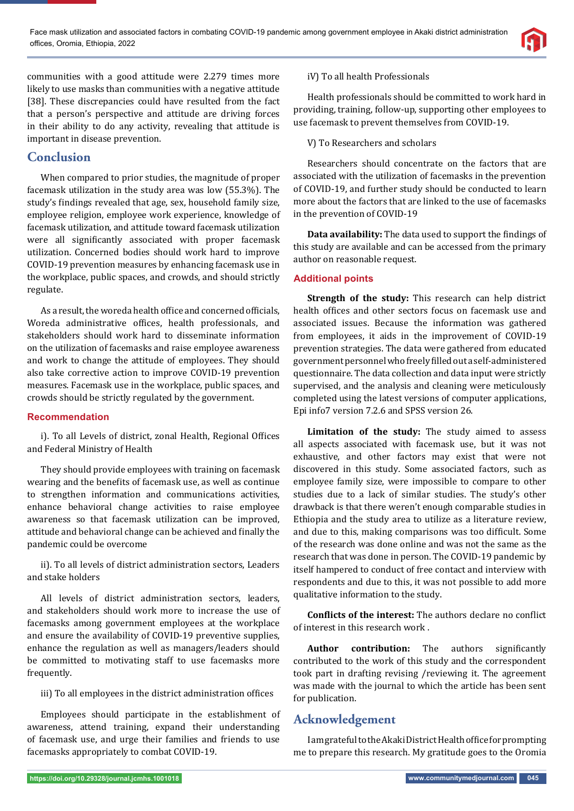

communities with a good attitude were 2.279 times more likely to use masks than communities with a negative attitude [38]. These discrepancies could have resulted from the fact that a person's perspective and attitude are driving forces in their ability to do any activity, revealing that attitude is important in disease prevention.

# **Conclusion**

When compared to prior studies, the magnitude of proper facemask utilization in the study area was low (55.3%). The study's findings revealed that age, sex, household family size, employee religion, employee work experience, knowledge of facemask utilization, and attitude toward facemask utilization were all significantly associated with proper facemask utilization. Concerned bodies should work hard to improve COVID-19 prevention measures by enhancing facemask use in the workplace, public spaces, and crowds, and should strictly regulate.

As a result, the woreda health office and concerned officials, Woreda administrative offices, health professionals, and stakeholders should work hard to disseminate information on the utilization of facemasks and raise employee awareness and work to change the attitude of employees. They should also take corrective action to improve COVID-19 prevention measures. Facemask use in the workplace, public spaces, and crowds should be strictly regulated by the government.

## **Recommendation**

i). To all Levels of district, zonal Health, Regional Offices and Federal Ministry of Health

They should provide employees with training on facemask wearing and the benefits of facemask use, as well as continue to strengthen information and communications activities, enhance behavioral change activities to raise employee awareness so that facemask utilization can be improved, attitude and behavioral change can be achieved and finally the pandemic could be overcome

ii). To all levels of district administration sectors, Leaders and stake holders

All levels of district administration sectors, leaders, and stakeholders should work more to increase the use of facemasks among government employees at the workplace and ensure the availability of COVID-19 preventive supplies, enhance the regulation as well as managers/leaders should be committed to motivating staff to use facemasks more frequently.

iii) To all employees in the district administration offices

Employees should participate in the establishment of awareness, attend training, expand their understanding of facemask use, and urge their families and friends to use facemasks appropriately to combat COVID-19.

## iV) To all health Professionals

Health professionals should be committed to work hard in providing, training, follow-up, supporting other employees to use facemask to prevent themselves from COVID-19.

V) To Researchers and scholars

Researchers should concentrate on the factors that are associated with the utilization of facemasks in the prevention of COVID-19, and further study should be conducted to learn more about the factors that are linked to the use of facemasks in the prevention of COVID-19

**Data availability:** The data used to support the findings of this study are available and can be accessed from the primary author on reasonable request.

## **Additional points**

**Strength of the study:** This research can help district health offices and other sectors focus on facemask use and associated issues. Because the information was gathered from employees, it aids in the improvement of COVID-19 prevention strategies. The data were gathered from educated government personnel who freely filled out a self-administered questionnaire. The data collection and data input were strictly supervised, and the analysis and cleaning were meticulously completed using the latest versions of computer applications, Epi info7 version 7.2.6 and SPSS version 26.

**Limitation of the study:** The study aimed to assess all aspects associated with facemask use, but it was not exhaustive, and other factors may exist that were not discovered in this study. Some associated factors, such as employee family size, were impossible to compare to other studies due to a lack of similar studies. The study's other drawback is that there weren't enough comparable studies in Ethiopia and the study area to utilize as a literature review, and due to this, making comparisons was too difficult. Some of the research was done online and was not the same as the research that was done in person. The COVID-19 pandemic by itself hampered to conduct of free contact and interview with respondents and due to this, it was not possible to add more qualitative information to the study.

**Conflicts of the interest:** The authors declare no conflict of interest in this research work .

**Author contribution:** The authors significantly contributed to the work of this study and the correspondent took part in drafting revising /reviewing it. The agreement was made with the journal to which the article has been sent for publication.

# **Acknowledgement**

I am grateful to the Akaki District Health office for prompting me to prepare this research. My gratitude goes to the Oromia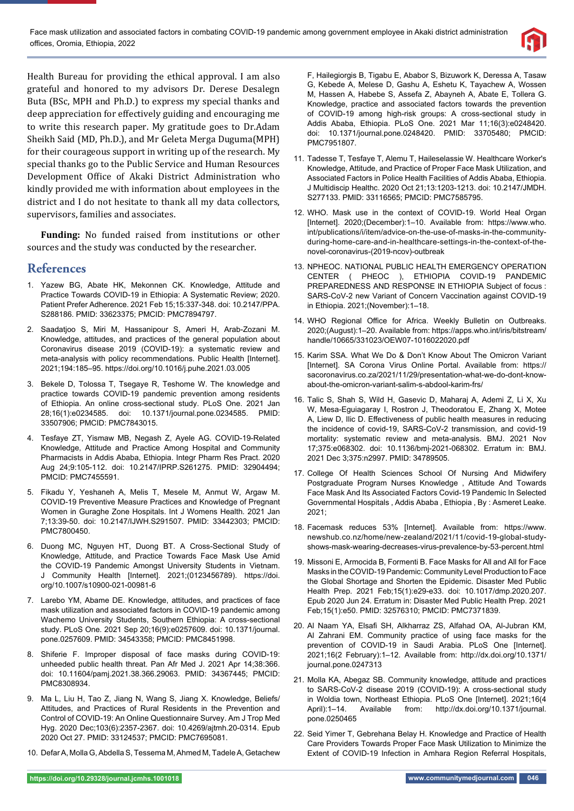

Health Bureau for providing the ethical approval. I am also grateful and honored to my advisors Dr. Derese Desalegn Buta (BSc, MPH and Ph.D.) to express my special thanks and deep appreciation for effectively guiding and encouraging me to write this research paper. My gratitude goes to Dr.Adam Sheikh Said (MD, Ph.D.), and Mr Geleta Merga Duguma(MPH) for their courageous support in writing up of the research. My special thanks go to the Public Service and Human Resources Development Office of Akaki District Administration who kindly provided me with information about employees in the district and I do not hesitate to thank all my data collectors, supervisors, families and associates.

**Funding:** No funded raised from institutions or other sources and the study was conducted by the researcher.

## **References**

- 1. Yazew BG, Abate HK, Mekonnen CK. Knowledge, Attitude and Practice Towards COVID-19 in Ethiopia: A Systematic Review; 2020. Patient Prefer Adherence. 2021 Feb 15;15:337-348. doi: 10.2147/PPA. S288186. PMID: 33623375; PMCID: PMC7894797.
- 2. Saadatjoo S, Miri M, Hassanipour S, Ameri H, Arab-Zozani M. Knowledge, attitudes, and practices of the general population about Coronavirus disease 2019 (COVID-19): a systematic review and meta-analysis with policy recommendations. Public Health [Internet]. 2021;194:185–95. https://doi.org/10.1016/j.puhe.2021.03.005
- 3. Bekele D, Tolossa T, Tsegaye R, Teshome W. The knowledge and practice towards COVID-19 pandemic prevention among residents of Ethiopia. An online cross-sectional study. PLoS One. 2021 Jan 28;16(1):e0234585. doi: 10.1371/journal.pone.0234585. PMID: 33507906; PMCID: PMC7843015.
- 4. Tesfaye ZT, Yismaw MB, Negash Z, Ayele AG. COVID-19-Related Knowledge, Attitude and Practice Among Hospital and Community Pharmacists in Addis Ababa, Ethiopia. Integr Pharm Res Pract. 2020 Aug 24;9:105-112. doi: 10.2147/IPRP.S261275. PMID: 32904494; PMCID: PMC7455591.
- 5. Fikadu Y, Yeshaneh A, Melis T, Mesele M, Anmut W, Argaw M. COVID-19 Preventive Measure Practices and Knowledge of Pregnant Women in Guraghe Zone Hospitals. Int J Womens Health. 2021 Jan 7;13:39-50. doi: 10.2147/IJWH.S291507. PMID: 33442303; PMCID: PMC7800450.
- 6. Duong MC, Nguyen HT, Duong BT. A Cross-Sectional Study of Knowledge, Attitude, and Practice Towards Face Mask Use Amid the COVID-19 Pandemic Amongst University Students in Vietnam. J Community Health [Internet]. 2021;(0123456789). https://doi. org/10.1007/s10900-021-00981-6
- 7. Larebo YM, Abame DE. Knowledge, attitudes, and practices of face mask utilization and associated factors in COVID-19 pandemic among Wachemo University Students, Southern Ethiopia: A cross-sectional study. PLoS One. 2021 Sep 20;16(9):e0257609. doi: 10.1371/journal. pone.0257609. PMID: 34543358; PMCID: PMC8451998.
- 8. Shiferie F. Improper disposal of face masks during COVID-19: unheeded public health threat. Pan Afr Med J. 2021 Apr 14;38:366. doi: 10.11604/pamj.2021.38.366.29063. PMID: 34367445; PMCID: PMC8308934.
- 9. Ma L, Liu H, Tao Z, Jiang N, Wang S, Jiang X. Knowledge, Beliefs/ Attitudes, and Practices of Rural Residents in the Prevention and Control of COVID-19: An Online Questionnaire Survey. Am J Trop Med Hyg. 2020 Dec;103(6):2357-2367. doi: 10.4269/ajtmh.20-0314. Epub 2020 Oct 27. PMID: 33124537; PMCID: PMC7695081.
- 10. Defar A, Molla G, Abdella S, Tessema M, Ahmed M, Tadele A, Getachew

F, Hailegiorgis B, Tigabu E, Ababor S, Bizuwork K, Deressa A, Tasaw G, Kebede A, Melese D, Gashu A, Eshetu K, Tayachew A, Wossen M, Hassen A, Habebe S, Assefa Z, Abayneh A, Abate E, Tollera G. Knowledge, practice and associated factors towards the prevention of COVID-19 among high-risk groups: A cross-sectional study in Addis Ababa, Ethiopia. PLoS One. 2021 Mar 11;16(3):e0248420. doi: 10.1371/journal.pone.0248420. PMID: 33705480; PMCID: PMC7951807.

- 11. Tadesse T, Tesfaye T, Alemu T, Haileselassie W. Healthcare Worker's Knowledge, Attitude, and Practice of Proper Face Mask Utilization, and Associated Factors in Police Health Facilities of Addis Ababa, Ethiopia. J Multidiscip Healthc. 2020 Oct 21;13:1203-1213. doi: 10.2147/JMDH. S277133. PMID: 33116565; PMCID: PMC7585795.
- 12. WHO. Mask use in the context of COVID-19. World Heal Organ [Internet]. 2020;(December):1–10. Available from: https://www.who. int/publications/i/item/advice-on-the-use-of-masks-in-the-communityduring-home-care-and-in-healthcare-settings-in-the-context-of-thenovel-coronavirus-(2019-ncov)-outbreak
- 13. NPHEOC. NATIONAL PUBLIC HEALTH EMERGENCY OPERATION CENTER ( PHEOC ), ETHIOPIA COVID-19 PANDEMIC PREPAREDNESS AND RESPONSE IN ETHIOPIA Subject of focus : SARS-CoV-2 new Variant of Concern Vaccination against COVID-19 in Ethiopia. 2021;(November):1–18.
- 14. WHO Regional Office for Africa. Weekly Bulletin on Outbreaks. 2020;(August):1–20. Available from: https://apps.who.int/iris/bitstream/ handle/10665/331023/OEW07-1016022020.pdf
- 15. Karim SSA. What We Do & Don't Know About The Omicron Variant [Internet]. SA Corona Virus Online Portal. Available from: https:// sacoronavirus.co.za/2021/11/29/presentation-what-we-do-dont-knowabout-the-omicron-variant-salim-s-abdool-karim-frs/
- 16. Talic S, Shah S, Wild H, Gasevic D, Maharaj A, Ademi Z, Li X, Xu W, Mesa-Eguiagaray I, Rostron J, Theodoratou E, Zhang X, Motee A, Liew D, Ilic D. Effectiveness of public health measures in reducing the incidence of covid-19, SARS-CoV-2 transmission, and covid-19 mortality: systematic review and meta-analysis. BMJ. 2021 Nov 17;375:e068302. doi: 10.1136/bmj-2021-068302. Erratum in: BMJ. 2021 Dec 3;375:n2997. PMID: 34789505.
- 17. College Of Health Sciences School Of Nursing And Midwifery Postgraduate Program Nurses Knowledge , Attitude And Towards Face Mask And Its Associated Factors Covid-19 Pandemic In Selected Governmental Hospitals , Addis Ababa , Ethiopia , By : Asmeret Leake. 2021;
- 18. Facemask reduces 53% [Internet]. Available from: https://www. newshub.co.nz/home/new-zealand/2021/11/covid-19-global-studyshows-mask-wearing-decreases-virus-prevalence-by-53-percent.html
- 19. Missoni E, Armocida B, Formenti B. Face Masks for All and All for Face Masks in the COVID-19 Pandemic: Community Level Production to Face the Global Shortage and Shorten the Epidemic. Disaster Med Public Health Prep. 2021 Feb;15(1):e29-e33. doi: 10.1017/dmp.2020.207. Epub 2020 Jun 24. Erratum in: Disaster Med Public Health Prep. 2021 Feb;15(1):e50. PMID: 32576310; PMCID: PMC7371839.
- 20. Al Naam YA, Elsafi SH, Alkharraz ZS, Alfahad OA, Al-Jubran KM, Al Zahrani EM. Community practice of using face masks for the prevention of COVID-19 in Saudi Arabia. PLoS One [Internet]. 2021;16(2 February):1–12. Available from: http://dx.doi.org/10.1371/ journal.pone.0247313
- 21. Molla KA, Abegaz SB. Community knowledge, attitude and practices to SARS-CoV-2 disease 2019 (COVID-19): A cross-sectional study in Woldia town, Northeast Ethiopia. PLoS One [Internet]. 2021;16(4 April):1–14. Available from: http://dx.doi.org/10.1371/journal. pone.0250465
- 22. Seid Yimer T, Gebrehana Belay H. Knowledge and Practice of Health Care Providers Towards Proper Face Mask Utilization to Minimize the Extent of COVID-19 Infection in Amhara Region Referral Hospitals,